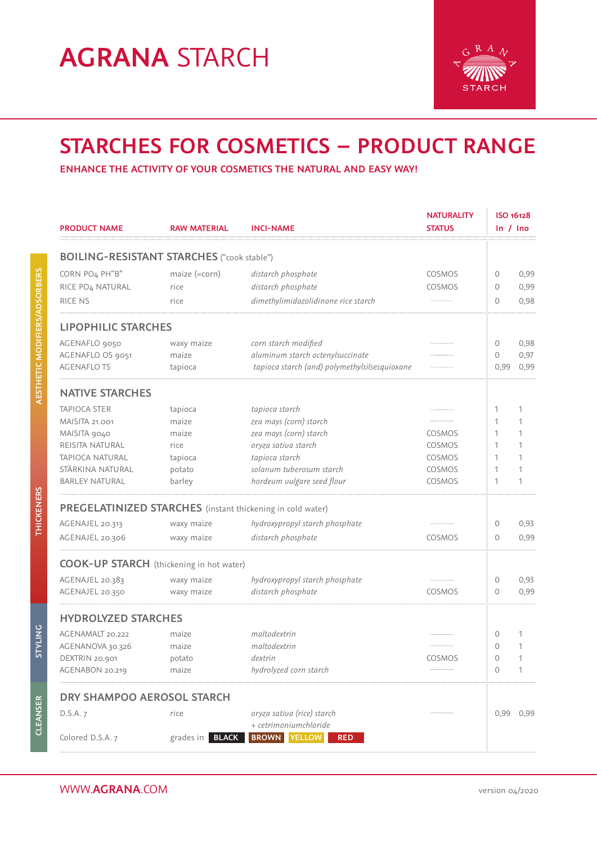# **AGRANA** STARCH



### **STARCHES FOR COSMETICS – PRODUCT RANGE**

**ENHANCE THE ACTIVITY OF YOUR COSMETICS THE NATURAL AND EASY WAY!**

|                                                   |                             |                                                            | <b>NATURALITY</b> | ISO 16128    |           |
|---------------------------------------------------|-----------------------------|------------------------------------------------------------|-------------------|--------------|-----------|
| <b>PRODUCT NAME</b>                               | <b>RAW MATERIAL</b>         | <b>INCI-NAME</b>                                           | <b>STATUS</b>     | ln / lno     |           |
| <b>BOILING-RESISTANT STARCHES</b> ("cook stable") |                             |                                                            |                   |              |           |
| CORN PO4 PH"B"                                    | maize (=corn)               | distarch phosphate                                         | COSMOS            | 0            | 0,99      |
| RICE PO <sub>4</sub> NATURAL                      | rice                        | distarch phosphate                                         | COSMOS            | 0            | 0,99      |
| RICE NS                                           | rice                        | dimethylimidazolidinone rice starch                        |                   | 0            | 0,98      |
| <b>LIPOPHILIC STARCHES</b>                        |                             |                                                            |                   |              |           |
| AGENAFLO 9050                                     | waxy maize                  | corn starch modified                                       |                   | 0            | 0,98      |
| AGENAFLO OS 9051                                  | maize                       | aluminum starch octenylsuccinate                           |                   | 0            | 0,97      |
| <b>AGENAFLOTS</b>                                 | tapioca                     | tapioca starch (and) polymethylsilsesquioxane              |                   | 0,99         | 0,99      |
| <b>NATIVE STARCHES</b>                            |                             |                                                            |                   |              |           |
| <b>TAPIOCA STER</b>                               | tapioca                     | tapioca starch                                             |                   | 1            | 1         |
| <b>MAISITA 21.001</b>                             | maize                       | zea mays (corn) starch                                     |                   | 1            | 1         |
| MAISITA 9040                                      | maize                       | zea mays (corn) starch                                     | COSMOS            | 1            | 1         |
| REISITA NATURAL                                   | rice                        | oryza sativa starch                                        | COSMOS            | 1            | 1         |
| TAPIOCA NATURAL                                   | tapioca                     | tapioca starch                                             | COSMOS            | 1            | 1         |
| STÄRKINA NATURAL                                  | potato                      | solanum tuberosum starch                                   | COSMOS            | 1            | 1         |
| <b>BARLEY NATURAL</b>                             | barley                      | hordeum vulgare seed flour                                 | COSMOS            | 1            | 1         |
|                                                   |                             | PREGELATINIZED STARCHES (instant thickening in cold water) |                   |              |           |
| AGENAJEL 20.313                                   | waxy maize                  | hydroxypropyl starch phosphate                             |                   | 0            | 0,93      |
| AGENAJEL 20.306                                   | waxy maize                  | distarch phosphate                                         | COSMOS            | 0            | 0,99      |
| <b>COOK-UP STARCH</b> (thickening in hot water)   |                             |                                                            |                   |              |           |
| AGENAJEL 20.383                                   | waxy maize                  | hydroxypropyl starch phosphate                             |                   | 0            | 0,93      |
| AGENAJEL 20.350                                   | waxy maize                  | distarch phosphate                                         | COSMOS            | 0            | 0,99      |
| <b>HYDROLYZED STARCHES</b>                        |                             |                                                            |                   |              |           |
| AGENAMALT 20.222                                  | maize                       | maltodextrin                                               |                   | 0            | 1         |
| AGENANOVA 30.326                                  | maize                       | maltodextrin                                               |                   | $\mathbf{0}$ | 1         |
| DEXTRIN 20.901                                    | potato                      | dextrin                                                    | COSMOS            | 0            | 1         |
| AGENABON 20.219                                   | maize                       | hydrolyzed corn starch                                     |                   | 0            | 1         |
| DRY SHAMPOO AEROSOL STARCH                        |                             |                                                            |                   |              |           |
| D.S.A. 7                                          | rice                        | oryza sativa (rice) starch                                 |                   |              | 0,99 0,99 |
|                                                   |                             | + cetrimoniumchloride                                      |                   |              |           |
| Colored D.S.A. 7                                  | $grades$ in<br><b>BLACK</b> | <b>YELLOW</b><br><b>BROWN</b><br><b>RED</b>                |                   |              |           |
|                                                   |                             |                                                            |                   |              |           |